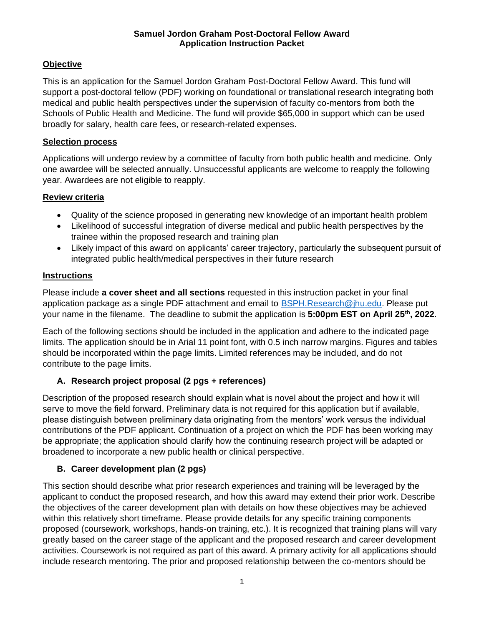#### **Samuel Jordon Graham Post-Doctoral Fellow Award Application Instruction Packet**

## **Objective**

This is an application for the Samuel Jordon Graham Post-Doctoral Fellow Award. This fund will support a post-doctoral fellow (PDF) working on foundational or translational research integrating both medical and public health perspectives under the supervision of faculty co-mentors from both the Schools of Public Health and Medicine. The fund will provide \$65,000 in support which can be used broadly for salary, health care fees, or research-related expenses.

### **Selection process**

Applications will undergo review by a committee of faculty from both public health and medicine. Only one awardee will be selected annually. Unsuccessful applicants are welcome to reapply the following year. Awardees are not eligible to reapply.

## **Review criteria**

- Quality of the science proposed in generating new knowledge of an important health problem
- Likelihood of successful integration of diverse medical and public health perspectives by the trainee within the proposed research and training plan
- Likely impact of this award on applicants' career trajectory, particularly the subsequent pursuit of integrated public health/medical perspectives in their future research

### **Instructions**

Please include **a cover sheet and all sections** requested in this instruction packet in your final application package as a single PDF attachment and email to [BSPH.Research@jhu.edu.](mailto:BSPH.Research@jhu.edu) Please put your name in the filename. The deadline to submit the application is **5:00pm EST on April 25th, 2022**.

Each of the following sections should be included in the application and adhere to the indicated page limits. The application should be in Arial 11 point font, with 0.5 inch narrow margins. Figures and tables should be incorporated within the page limits. Limited references may be included, and do not contribute to the page limits.

## **A. Research project proposal (2 pgs + references)**

Description of the proposed research should explain what is novel about the project and how it will serve to move the field forward. Preliminary data is not required for this application but if available, please distinguish between preliminary data originating from the mentors' work versus the individual contributions of the PDF applicant. Continuation of a project on which the PDF has been working may be appropriate; the application should clarify how the continuing research project will be adapted or broadened to incorporate a new public health or clinical perspective.

## **B. Career development plan (2 pgs)**

This section should describe what prior research experiences and training will be leveraged by the applicant to conduct the proposed research, and how this award may extend their prior work. Describe the objectives of the career development plan with details on how these objectives may be achieved within this relatively short timeframe. Please provide details for any specific training components proposed (coursework, workshops, hands-on training, etc.). It is recognized that training plans will vary greatly based on the career stage of the applicant and the proposed research and career development activities. Coursework is not required as part of this award. A primary activity for all applications should include research mentoring. The prior and proposed relationship between the co-mentors should be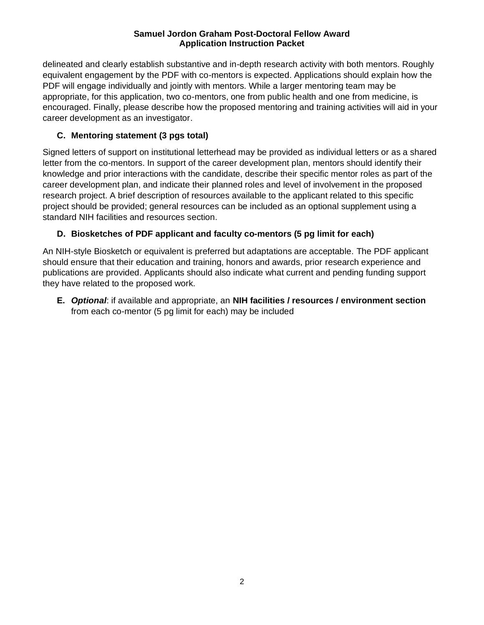#### **Samuel Jordon Graham Post-Doctoral Fellow Award Application Instruction Packet**

delineated and clearly establish substantive and in-depth research activity with both mentors. Roughly equivalent engagement by the PDF with co-mentors is expected. Applications should explain how the PDF will engage individually and jointly with mentors. While a larger mentoring team may be appropriate, for this application, two co-mentors, one from public health and one from medicine, is encouraged. Finally, please describe how the proposed mentoring and training activities will aid in your career development as an investigator.

## **C. Mentoring statement (3 pgs total)**

Signed letters of support on institutional letterhead may be provided as individual letters or as a shared letter from the co-mentors. In support of the career development plan, mentors should identify their knowledge and prior interactions with the candidate, describe their specific mentor roles as part of the career development plan, and indicate their planned roles and level of involvement in the proposed research project. A brief description of resources available to the applicant related to this specific project should be provided; general resources can be included as an optional supplement using a standard NIH facilities and resources section.

# **D. Biosketches of PDF applicant and faculty co-mentors (5 pg limit for each)**

An NIH-style Biosketch or equivalent is preferred but adaptations are acceptable. The PDF applicant should ensure that their education and training, honors and awards, prior research experience and publications are provided. Applicants should also indicate what current and pending funding support they have related to the proposed work.

**E.** *Optional*: if available and appropriate, an **NIH facilities / resources / environment section** from each co-mentor (5 pg limit for each) may be included